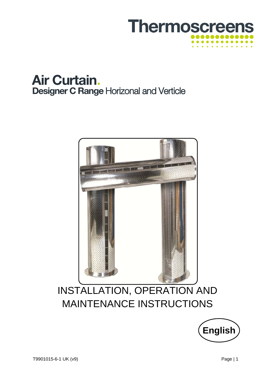





# INSTALLATION, OPERATION AND MAINTENANCE INSTRUCTIONS

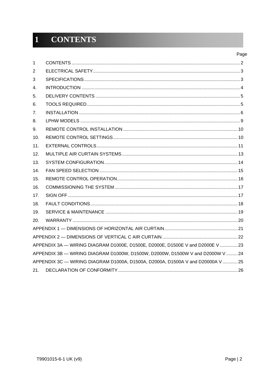#### **CONTENTS**  $\overline{1}$

| 1   |                                                                                |
|-----|--------------------------------------------------------------------------------|
| 2   |                                                                                |
| 3   |                                                                                |
| 4.  |                                                                                |
| 5.  |                                                                                |
| 6.  |                                                                                |
| 7.  |                                                                                |
| 8.  |                                                                                |
| 9.  |                                                                                |
| 10. |                                                                                |
| 11. |                                                                                |
| 12. |                                                                                |
| 13. |                                                                                |
| 14. |                                                                                |
| 15. |                                                                                |
| 16. |                                                                                |
| 17. |                                                                                |
| 18. |                                                                                |
| 19. |                                                                                |
| 20. |                                                                                |
|     |                                                                                |
|     |                                                                                |
|     | APPENDIX 3A - WIRING DIAGRAM D1000E, D1500E, D2000E, D1500E V and D2000E V  23 |
|     | APPENDIX 3B - WIRING DIAGRAM D1000W, D1500W, D2000W, D1500W V and D2000W V 24  |
|     | APPENDIX 3C - WIRING DIAGRAM D1000A, D1500A, D2000A, D1500A V and D20000A V 25 |
| 21. |                                                                                |
|     |                                                                                |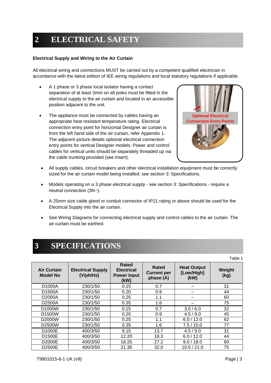## **2 ELECTRICAL SAFETY**

#### **Electrical Supply and Wiring to the Air Curtain**

All electrical wiring and connections MUST be carried out by a competent qualified electrician in accordance with the latest edition of IEE wiring regulations and local statutory regulations if applicable.

- A 1 phase or 3 phase local isolator having a contact separation of at least 3mm on all poles must be fitted in the electrical supply to the air curtain and located in an accessible position adjacent to the unit.
- The appliance must be connected by cables having an appropriate heat resistant temperature rating. Electrical connection entry point for horizontal Designer air curtain is from the left hand side of the air curtain, refer Appendix 1. The adjacent picture details optional electrical connection entry points for vertical Designer models. Power and control cables for vertical units should be separately threaded up via the cable trunking provided (see insert).



- All supply cables, circuit breakers and other electrical installation equipment must be correctly sized for the air curtain model being installed; see section 3: Specifications.
- Models operating on a 3 phase electrical supply see section 3: Specifications require a neutral connection (3N~).
- A 25mm size cable gland or conduit connector of IP21 rating or above should be used for the Electrical Supply into the air curtain.
- See Wiring Diagrams for connecting electrical supply and control cables to the air curtain. The air curtain must be earthed.

## **3 SPECIFICATIONS**

Table 1

| <b>Air Curtain</b><br><b>Model No</b> | <b>Electrical Supply</b><br>$(V/\text{ph}/\text{Hz})$ | <b>Rated</b><br><b>Electrical</b><br><b>Power Input</b><br>(kW) | Rated<br><b>Current per</b><br>phase (A) | <b>Heat Output</b><br>[Low/High]<br>(kW) | Weight<br>(kg) |
|---------------------------------------|-------------------------------------------------------|-----------------------------------------------------------------|------------------------------------------|------------------------------------------|----------------|
| D1000A                                | 230/1/50                                              | 0.15                                                            | 0.7                                      |                                          | 31             |
| D1500A                                | 230/1/50                                              | 0.20                                                            | 0.9                                      |                                          | 44             |
| D2000A                                | 230/1/50                                              | 0.25                                                            | 1.1                                      |                                          | 60             |
| D2500A                                | 230/1/50                                              | 0.35                                                            | 1.6                                      |                                          | 75             |
| D1000W                                | 230/1/50                                              | 0.15                                                            | 0.7                                      | 3.0/6.0                                  | 32             |
| D1500W                                | 230/1/50                                              | 0.20                                                            | 0.9                                      | 4.5/9.0                                  | 45             |
| D2000W                                | 230/1/50                                              | 0.25                                                            | 1.1                                      | 6.0 / 12.0                               | 62             |
| D2500W                                | 230/1/50                                              | 0.35                                                            | 1.6                                      | 7.5/15.0                                 | 77             |
| D1000E                                | 400/3/50                                              | 9.15                                                            | 13.7                                     | 4.5/9.0                                  | 31             |
| D1500E                                | 400/3/50                                              | 12.20                                                           | 18.3                                     | 6.0 / 12.0                               | 44             |
| D2000E                                | 400/3/50                                              | 18.25                                                           | 27.2                                     | 9.0 / 18.0                               | 60             |
| D2500E                                | 400/3/50                                              | 21.35                                                           | 32.0                                     | 10.5 / 21.0                              | 75             |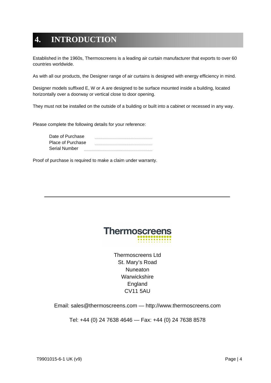## **4. INTRODUCTION**

Established in the 1960s, Thermoscreens is a leading air curtain manufacturer that exports to over 60 countries worldwide.

As with all our products, the Designer range of air curtains is designed with energy efficiency in mind.

Designer models suffixed E, W or A are designed to be surface mounted inside a building, located horizontally over a doorway or vertical close to door opening.

They must not be installed on the outside of a building or built into a cabinet or recessed in any way.

Please complete the following details for your reference:

| Date of Purchase  |  |
|-------------------|--|
| Place of Purchase |  |
| Serial Number     |  |

Proof of purchase is required to make a claim under warranty.



Thermoscreens Ltd St. Mary's Road **Nuneaton Warwickshire** England CV11 5AU

Email: sales@thermoscreens.com — http://www.thermoscreens.com

Tel: +44 (0) 24 7638 4646 — Fax: +44 (0) 24 7638 8578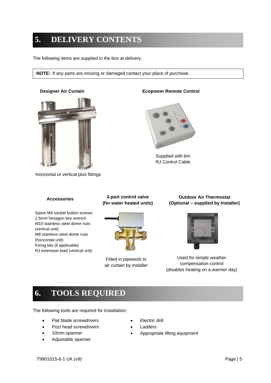## **5. DELIVERY CONTENTS**

The following items are supplied in the box at delivery.

**NOTE:** If any parts are missing or damaged contact your place of purchase.



Horizontal or vertical plus fittings



Supplied with 6m RJ Control Cable

Spare M4 socket button screws 2.5mm hexagon key wrench M10 stainless steel dome nuts (vertical unit) M8 stainless steel dome nuts (horizontal unit) Fixing kits (if applicable) RJ extension lead (vertical unit)

**Accessories 3-port control valve (for water heated units)** 



Fitted in pipework to air curtain by installer

**Outdoor Air Thermostat (Optional – supplied by Installer)** 



Used for simple weather compensation control (disables heating on a warmer day)

## **6. TOOLS REQUIRED**

The following tools are required for installation:

- Flat blade screwdrivers
- Pozi head screwdrivers
- 10mm spanner
- Adjustable spanner
- Electric drill
- Ladders
- Appropriate lifting equipment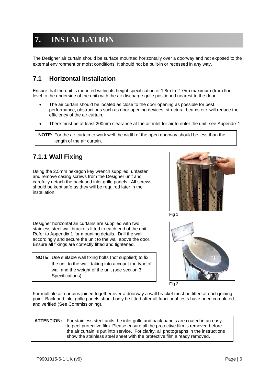## **7. INSTALLATION**

The Designer air curtain should be surface mounted horizontally over a doorway and not exposed to the external environment or moist conditions. It should not be built-in or recessed in any way.

## **7.1 Horizontal Installation**

Ensure that the unit is mounted within its height specification of 1.8m to 2.75m maximum (from floor level to the underside of the unit) with the air discharge grille positioned nearest to the door.

- The air curtain should be located as close to the door opening as possible for best performance, obstructions such as door opening devices, structural beams etc. will reduce the efficiency of the air curtain.
- There must be at least 200mm clearance at the air inlet for air to enter the unit, see Appendix 1.

**NOTE:** For the air curtain to work well the width of the open doorway should be less than the length of the air curtain.

## **7.1.1 Wall Fixing**

Using the 2.5mm hexagon key wrench supplied, unfasten and remove casing screws from the Designer unit and carefully detach the back and inlet grille panels. All screws should be kept safe as they will be required later in the installation.





Designer horizontal air curtains are supplied with two stainless steel wall brackets fitted to each end of the unit. Refer to Appendix 1 for mounting details. Drill the wall accordingly and secure the unit to the wall above the door. Ensure all fixings are correctly fitted and tightened.

**NOTE**: Use suitable wall fixing bolts (not supplied) to fix the unit to the wall, taking into account the type of wall and the weight of the unit (see section 3: Specifications).





For multiple air curtains joined together over a doorway a wall bracket must be fitted at each joining point. Back and inlet grille panels should only be fitted after all functional tests have been completed and verified (See Commissioning).

\* **ATTENTION:** For stainless steel units the inlet grille and back panels are coated in an easy to peel protective film. Please ensure all the protective film is removed before the air curtain is put into service. For clarity, all photographs in the instructions show the stainless steel sheet with the protective film already removed.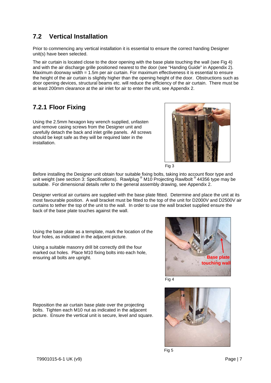## **7.2 Vertical Installation**

Prior to commencing any vertical installation it is essential to ensure the correct handing Designer unit(s) have been selected.

The air curtain is located close to the door opening with the base plate touching the wall (see Fig 4) and with the air discharge grille positioned nearest to the door (see "Handing Guide" in Appendix 2). Maximum doorway width = 1.5m per air curtain. For maximum effectiveness it is essential to ensure the height of the air curtain is slightly higher than the opening height of the door. Obstructions such as door opening devices, structural beams etc. will reduce the efficiency of the air curtain. There must be at least 200mm clearance at the air inlet for air to enter the unit, see Appendix 2.

## **7.2.1 Floor Fixing**

Using the 2.5mm hexagon key wrench supplied, unfasten and remove casing screws from the Designer unit and carefully detach the back and inlet grille panels. All screws should be kept safe as they will be required later in the installation.





Before installing the Designer unit obtain four suitable fixing bolts, taking into account floor type and unit weight (see section 3: Specifications). Rawlplug ® M10 Projecting Rawlbolt ® 44356 type may be suitable. For dimensional details refer to the general assembly drawing, see Appendix 2.

Designer vertical air curtains are supplied with the base plate fitted. Determine and place the unit at its most favourable position. A wall bracket must be fitted to the top of the unit for D2000V and D2500V air curtains to tether the top of the unit to the wall. In order to use the wall bracket supplied ensure the back of the base plate touches against the wall.

Using the base plate as a template, mark the location of the four holes, as indicated in the adjacent picture.

Using a suitable masonry drill bit correctly drill the four marked out holes. Place M10 fixing bolts into each hole, ensuring all bolts are upright.



Fig 4



Reposition the air curtain base plate over the projecting bolts. Tighten each M10 nut as indicated in the adjacent picture. Ensure the vertical unit is secure, level and square.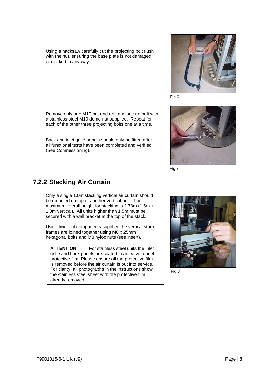Using a hacksaw carefully cut the projecting bolt flush with the nut, ensuring the base plate is not damaged or marked in any way.

Remove only one M10 nut and refit and secure bolt with a stainless steel M10 dome nut supplied. Repeat for each of the other three projecting bolts one at a time.

Back and inlet grille panels should only be fitted after all functional tests have been completed and verified (See Commissioning).



Fig 6



Fig 7

#### **7.2.2 Stacking Air Curtain**

Only a single 1.0m stacking vertical air curtain should be mounted on top of another vertical unit. The maximum overall height for stacking is 2.78m (1.5m + 1.0m vertical). All units higher than 1.5m must be secured with a wall bracket at the top of the stack.

Using fixing kit components supplied the vertical stack frames are joined together using M8 x 25mm hexagonal bolts and M8 nyloc nuts (see insert).

**ATTENTION:** For stainless steel units the inlet grille and back panels are coated in an easy to peel protective film. Please ensure all the protective film is removed before the air curtain is put into service. For clarity, all photographs in the instructions show the stainless steel sheet with the protective film already removed.



Fig 8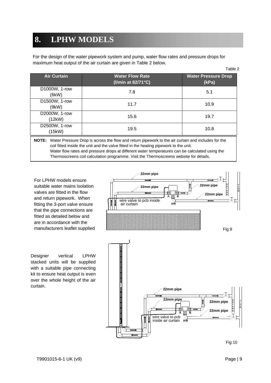## **8. LPHW MODELS**

For the design of the water pipework system and pump, water flow rates and pressure drops for maximum heat output of the air curtain are given in Table 2 below.

|                         |                                                                                                                                                                                                                                                                                                | Table 2                             |
|-------------------------|------------------------------------------------------------------------------------------------------------------------------------------------------------------------------------------------------------------------------------------------------------------------------------------------|-------------------------------------|
| <b>Air Curtain</b>      | <b>Water Flow Rate</b><br>(I/min at $82/71^{\circ}$ C)                                                                                                                                                                                                                                         | <b>Water Pressure Drop</b><br>(kPa) |
| D1000W, 1-row<br>(6kW)  | 7.8                                                                                                                                                                                                                                                                                            | 5.1                                 |
| D1500W, 1-row<br>(9kW)  | 11.7                                                                                                                                                                                                                                                                                           | 10.9                                |
| D2000W, 1-row<br>(12kW) | 15.6                                                                                                                                                                                                                                                                                           | 19.7                                |
| D2500W, 1-row<br>(15kW) | 19.5                                                                                                                                                                                                                                                                                           | 10.8                                |
| <b>NOTE:</b>            | Water Pressure Drop is across the flow and return pipework to the air curtain and includes for the<br>coil fitted inside the unit and the valve fitted in the heating pipework to the unit.<br>Water flow rates and pressure drops at different water temperatures can be calculated using the |                                     |

Thermoscreens coil calculation programme. Visit the Thermoscreens website for details.

For LPHW models ensure suitable water mains isolation valves are fitted in the flow and return pipework. When fitting the 3-port valve ensure that the pipe connections are fitted as detailed below and are in accordance with the manufacturers leaflet supplied

Designer vertical LPHW stacked units will be supplied with a suitable pipe connecting kit to ensure heat output is even over the whole height of the air curtain.



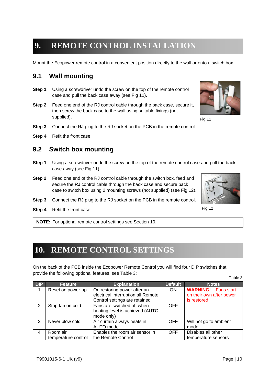## **9. REMOTE CONTROL INSTALLATION**

Mount the Ecopower remote control in a convenient position directly to the wall or onto a switch box.

#### **9.1 Wall mounting**

- **Step 1** Using a screwdriver undo the screw on the top of the remote control case and pull the back case away (see Fig 11).
- **Step 2** Feed one end of the RJ control cable through the back case, secure it, then screw the back case to the wall using suitable fixings (not supplied).
- **Step 3** Connect the RJ plug to the RJ socket on the PCB in the remote control.
- **Step 4** Refit the front case.

#### **9.2 Switch box mounting**

- **Step 1** Using a screwdriver undo the screw on the top of the remote control case and pull the back case away (see Fig 11).
- **Step 2** Feed one end of the RJ control cable through the switch box, feed and secure the RJ control cable through the back case and secure back case to switch box using 2 mounting screws (not supplied) (see Fig 12).
- **Step 3** Connect the RJ plug to the RJ socket on the PCB in the remote control.
- **Step 4** Refit the front case.

**NOTE:** For optional remote control settings see Section 10.

## **10. REMOTE CONTROL SETTINGS**

On the back of the PCB inside the Ecopower Remote Control you will find four DIP switches that provide the following optional features, see Table 3:

| <b>DIP</b> | <b>Feature</b>                  | <b>Explanation</b>                                                                                 | <b>Default</b> | <b>Notes</b>                                                            |
|------------|---------------------------------|----------------------------------------------------------------------------------------------------|----------------|-------------------------------------------------------------------------|
| 1          | Reset on power-up               | On restoring power after an<br>electrical interruption all Remote<br>Control settings are retained | <b>ON</b>      | <b>WARNING!</b> - Fans start<br>on their own after power<br>is restored |
| 2          | Stop fan on cold                | Fans are switched off when<br>heating level is achieved (AUTO<br>mode only)                        | <b>OFF</b>     |                                                                         |
| 3          | Never blow cold                 | Air curtain always heats in<br>AUTO mode                                                           | <b>OFF</b>     | Will not go to ambient<br>mode                                          |
| 4          | Room air<br>temperature control | Enables the room air sensor in<br>the Remote Control                                               | <b>OFF</b>     | Disables all other<br>temperature sensors                               |



Fig 11



Fig 12

Table 3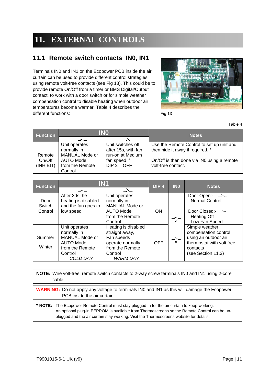## **11. EXTERNAL CONTROLS**

## **11.1 Remote switch contacts IN0, IN1**

Terminals IN0 and IN1 on the Ecopower PCB inside the air curtain can be used to provide different control strategies using remote volt-free contacts (see Fig 13). This could be to provide remote On/Off from a timer or BMS Digital/Output contact, to work with a door switch or for simple weather compensation control to disable heating when outdoor air temperatures become warmer. Table 4 describes the different functions:



Fig 13

Table 4

| <b>Function</b> | INO             |                     | <b>Notes</b>                               |  |
|-----------------|-----------------|---------------------|--------------------------------------------|--|
|                 |                 |                     |                                            |  |
|                 | Unit operates   | Unit switches off   | Use the Remote Control to set up unit and  |  |
|                 | normally in     | after 15s, with fan | then hide it away if required. *           |  |
| Remote          | MANUAL Mode or  | run-on at Medium    |                                            |  |
| On/Off          | AUTO Mode       | fan speed if        | On/Off is then done via IN0 using a remote |  |
| (INHIBIT)       | from the Remote | $DIP$ 2 = OFF       | volt-free contact.                         |  |
|                 | Control         |                     |                                            |  |

| <b>Function</b> | <b>IN1</b>                                                  |                                                                   | DIP <sub>4</sub> | <b>INO</b>                | <b>Notes</b>                                                       |
|-----------------|-------------------------------------------------------------|-------------------------------------------------------------------|------------------|---------------------------|--------------------------------------------------------------------|
|                 | ᅩ                                                           | $\Delta$                                                          |                  |                           |                                                                    |
| Door<br>Switch  | After 30s the<br>heating is disabled<br>and the fan goes to | Unit operates<br>normally in<br><b>MANUAL Mode or</b>             |                  |                           | <b>Normal Control</b>                                              |
| Control         | low speed                                                   | <b>AUTO Mode</b><br>from the Remote<br>Control                    | <b>ON</b>        |                           | Door Closed:- $\rightarrow$<br><b>Heating Off</b><br>Low Fan Speed |
| Summer          | Unit operates<br>normally in<br>MANUAL Mode or              | Heating is disabled<br>straight away,<br>Fan speeds               |                  | $\overline{\phantom{a}}$  | Simple weather<br>compensation control<br>using an outdoor air     |
| Winter          | AUTO Mode<br>from the Remote<br>Control<br>COLD DAY         | operate normally<br>from the Remote<br>Control<br><b>WARM DAY</b> | <b>OFF</b>       | $\boldsymbol{\mathsf{x}}$ | thermostat with volt free<br>contacts<br>(see Section 11.3)        |

**NOTE:** Wire volt-free, remote switch contacts to 2-way screw terminals IN0 and IN1 using 2-core cable.

**WARNING:** Do not apply any voltage to terminals IN0 and IN1 as this will damage the Ecopower PCB inside the air curtain.

**\* NOTE:** The Ecopower Remote Control must stay plugged-in for the air curtain to keep working. An optional plug-in EEPROM is available from Thermoscreens so the Remote Control can be unplugged and the air curtain stay working. Visit the Thermoscreens website for details.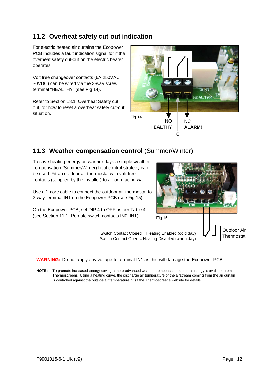### **11.2 Overheat safety cut-out indication**

For electric heated air curtains the Ecopower PCB includes a fault indication signal for if the overheat safety cut-out on the electric heater operates.

Volt free changeover contacts (6A 250VAC 30VDC) can be wired via the 3-way screw terminal "HEALTHY" (see Fig 14).

Refer to Section 18.1: Overheat Safety cut out, for how to reset a overheat safety cut-out situation.



#### 11.3 Weather compensation control (Summer/Winter)

To save heating energy on warmer days a simple weather compensation (Summer/Winter) heat control strategy can be used. Fit an outdoor air thermostat with volt-free contacts (supplied by the installer) to a north facing wall.

Use a 2-core cable to connect the outdoor air thermostat to 2-way terminal IN1 on the Ecopower PCB (see Fig 15)

On the Ecopower PCB, set DIP 4 to OFF as per Table 4, (see Section 11.1: Remote switch contacts IN0, IN1).



| <b>WARNING:</b> Do not apply any voltage to terminal IN1 as this will damage the Ecopower PCB. |                                                                                                                                                                                                                                                                                                                                   |
|------------------------------------------------------------------------------------------------|-----------------------------------------------------------------------------------------------------------------------------------------------------------------------------------------------------------------------------------------------------------------------------------------------------------------------------------|
| <b>NOTE:</b>                                                                                   | To promote increased energy saving a more advanced weather compensation control strategy is available from<br>Thermoscreens. Using a heating curve, the discharge air temperature of the airstream coming from the air curtain<br>is controlled against the outside air temperature. Visit the Thermoscreens website for details. |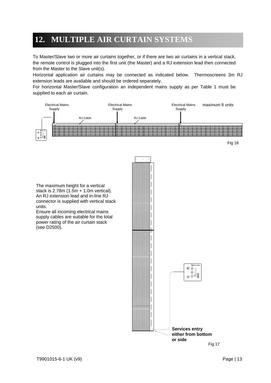## **12. MULTIPLE AIR CURTAIN SYSTEMS**

To Master/Slave two or more air curtains together, or if there are two air curtains in a vertical stack, the remote control is plugged into the first unit (the Master) and a RJ extension lead then connected from the Master to the Slave unit(s).

Horizontal application air curtains may be connected as indicated below. Thermoscreens 3m RJ extension leads are available and should be ordered separately.

For horizontal Master/Slave configuration an independent mains supply as per Table 1 must be supplied to each air curtain.

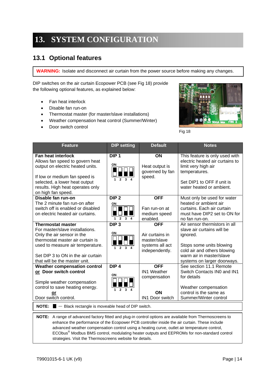## **13. SYSTEM CONFIGURATION**

#### **13.1 Optional features**

**WARNING:** Isolate and disconnect air curtain from the power source before making any changes.

DIP switches on the air curtain Ecopower PCB (see Fig 18) provide the following optional features, as explained below:

- Fan heat interlock
- Disable fan run-on
- Thermostat master (for master/slave installations)
- Weather compensation heat control (Summer/Winter)
- Door switch control



Fig 18

| <b>Feature</b>                                                                                                                                                                                                                                                                                                                                                          | <b>DIP setting</b>                                                         | <b>Default</b>                                                                     | <b>Notes</b>                                                                                                                                                                                  |
|-------------------------------------------------------------------------------------------------------------------------------------------------------------------------------------------------------------------------------------------------------------------------------------------------------------------------------------------------------------------------|----------------------------------------------------------------------------|------------------------------------------------------------------------------------|-----------------------------------------------------------------------------------------------------------------------------------------------------------------------------------------------|
| Fan heat interlock<br>Allows fan speed to govern heat<br>output on electric heated units.<br>If low or medium fan speed is<br>selected, a lower heat output<br>results. High heat operates only<br>on high fan speed.                                                                                                                                                   | DIP <sub>1</sub><br>ΟN                                                     | ON<br>Heat output is<br>governed by fan<br>speed.                                  | This feature is only used with<br>electric heated air curtains to<br>limit very high air<br>temperatures.<br>Set DIP1 to OFF if unit is<br>water heated or ambient.                           |
| Disable fan run-on<br>The 2 minute fan run-on after<br>switch off is enabled or disabled<br>on electric heated air curtains.                                                                                                                                                                                                                                            | DIP <sub>2</sub><br>ON<br>$\overline{2}$<br>3 <sup>7</sup><br>$\mathbf{1}$ | <b>OFF</b><br>Fan run-on at<br>medium speed<br>enabled.                            | Must only be used for water<br>heated or ambient air<br>curtains. Each air curtain<br>must have DIP2 set to ON for<br>no fan run-on.                                                          |
| <b>Thermostat master</b><br>For master/slave installations.<br>Only the air sensor in the<br>thermostat master air curtain is<br>used to measure air temperature.<br>Set DIP 3 to ON in the air curtain<br>that will be the master unit.                                                                                                                                | DIP <sub>3</sub><br>ON<br>$\overline{2}$                                   | <b>OFF</b><br>Air curtains in<br>master/slave<br>systems all act<br>independently. | Air sensor thermistors in all<br>slave air curtains will be<br>ignored.<br>Stops some units blowing<br>cold air and others blowing<br>warm air in master/slave<br>systems on larger doorways. |
| <b>Weather compensation control</b><br>or Door switch control<br>Simple weather compensation<br>control to save heating energy.<br>or<br>Door switch control.                                                                                                                                                                                                           | $DIP$ 4<br>ON                                                              | <b>OFF</b><br><b>IN1 Weather</b><br>compensation<br>ON<br><b>IN1 Door switch</b>   | See section 11.1 Remote<br>Switch Contacts IN0 and IN1<br>for details<br>Weather compensation<br>control is the same as<br>Summer/Winter control                                              |
| <b>NOTE:</b> $\blacksquare$ $\blacksquare$ Black rectangle is moveable head of DIP switch.                                                                                                                                                                                                                                                                              |                                                                            |                                                                                    |                                                                                                                                                                                               |
| NOTE:<br>A range of advanced factory fitted and plug-in control options are available from Thermoscreens to<br>enhance the performance of the Ecopower PCB controller inside the air curtain. These include<br>advanced weather compensation control using a heating curve, outlet air temperature control,<br>strategies. Visit the Thermoscreens website for details. |                                                                            |                                                                                    | ECObus <sup>®</sup> Modbus BMS control, modulating heater outputs and EEPROMs for non-standard control                                                                                        |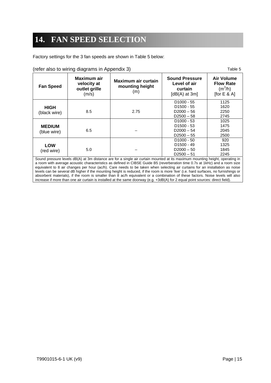## **14. FAN SPEED SELECTION**

Factory settings for the 3 fan speeds are shown in Table 5 below:

| (refer also to wiring diagrams in Appendix 3) |                     |  |
|-----------------------------------------------|---------------------|--|
| Maximum air                                   | Maximum air curtain |  |

| <b>Fan Speed</b> | Maximum air<br>velocity at<br>outlet grille<br>(m/s) | Maximum air curtain<br>mounting height<br>(m)                                                                                       | <b>Air Volume</b><br><b>Sound Pressure</b><br><b>Flow Rate</b><br>Level of air<br>$(m^3/h)$<br>curtain<br>[for $E 8 A$ ]<br>[ $dB(A)$ at 3m] |      |
|------------------|------------------------------------------------------|-------------------------------------------------------------------------------------------------------------------------------------|----------------------------------------------------------------------------------------------------------------------------------------------|------|
|                  |                                                      |                                                                                                                                     | $D1000 - 55$                                                                                                                                 | 1125 |
| <b>HIGH</b>      |                                                      |                                                                                                                                     | D <sub>1500</sub> - 55                                                                                                                       | 1620 |
| (black wire)     | 8.5                                                  | 2.75                                                                                                                                | $D2000 - 56$                                                                                                                                 | 2250 |
|                  |                                                      |                                                                                                                                     | $D2500 - 58$                                                                                                                                 | 2745 |
|                  |                                                      |                                                                                                                                     | $D1000 - 53$                                                                                                                                 | 1025 |
| <b>MEDIUM</b>    |                                                      |                                                                                                                                     | $D1500 - 53$                                                                                                                                 | 1475 |
| (blue wire)      | 6.5                                                  |                                                                                                                                     | $D2000 - 54$                                                                                                                                 | 2045 |
|                  |                                                      |                                                                                                                                     | $D2500 - 55$                                                                                                                                 | 2500 |
|                  |                                                      |                                                                                                                                     | $D1000 - 50$                                                                                                                                 | 920  |
| <b>LOW</b>       |                                                      |                                                                                                                                     | $D1500 - 49$                                                                                                                                 | 1325 |
| (red wire)       | 5.0                                                  |                                                                                                                                     | $D2000 - 50$                                                                                                                                 | 1845 |
|                  |                                                      |                                                                                                                                     | $D2500 - 51$                                                                                                                                 | 2245 |
|                  |                                                      | Sound process lovels $dR(\Lambda)$ at 3m distance are for a single air curtain mounted at its maximum mounting beight, operating in |                                                                                                                                              |      |

: levels dB(A) at 3m distance are for a single air curtain mounted at its maximum mounting height, operating in a room with average acoustic characteristics as defined in CIBSE Guide B5 (reverberation time 0.7s at 1kHz) and a room size equivalent to 8 air changes per hour (ac/h). Care needs to be taken when selecting air curtains for an installation as noise levels can be several dB higher if the mounting height is reduced, if the room is more 'live' (i.e. hard surfaces, no furnishings or absorbent materials), if the room is smaller than 8 ac/h equivalent or a combination of these factors. Noise levels will also increase if more than one air curtain is installed at the same doorway (e.g. +3dB(A) for 2 equal point sources: direct field).

Table 5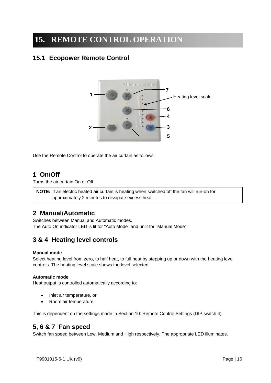## **15. REMOTE CONTROL OPERATION**

## **15.1 Ecopower Remote Control**



Use the Remote Control to operate the air curtain as follows:

## **1 On/Off**

Turns the air curtain On or Off.

**NOTE:** If an electric heated air curtain is heating when switched off the fan will run-on for approximately 2 minutes to dissipate excess heat.

#### **2 Manual/Automatic**

Switches between Manual and Automatic modes. The Auto On indicator LED is lit for "Auto Mode" and unlit for "Manual Mode".

## **3 & 4 Heating level controls**

#### **Manual mode**

Select heating level from zero, to half heat, to full heat by stepping up or down with the heating level controls. The heating level scale shows the level selected.

#### **Automatic mode**

Heat output is controlled automatically according to:

- Inlet air temperature, or
- Room air temperature

This is dependent on the settings made in Section 10: Remote Control Settings (DIP switch 4).

#### **5, 6 & 7 Fan speed**

Switch fan speed between Low, Medium and High respectively. The appropriate LED illuminates.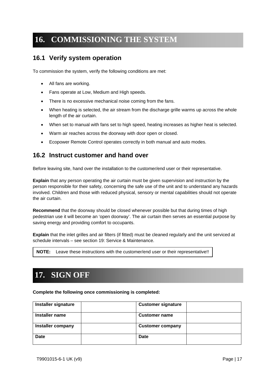## **16. COMMISSIONING THE SYSTEM**

#### **16.1 Verify system operation**

To commission the system, verify the following conditions are met:

- All fans are working.
- Fans operate at Low, Medium and High speeds.
- There is no excessive mechanical noise coming from the fans.
- When heating is selected, the air stream from the discharge grille warms up across the whole length of the air curtain.
- When set to manual with fans set to high speed, heating increases as higher heat is selected.
- Warm air reaches across the doorway with door open or closed.
- Ecopower Remote Control operates correctly in both manual and auto modes.

#### **16.2 Instruct customer and hand over**

Before leaving site, hand over the installation to the customer/end user or their representative.

**Explain** that any person operating the air curtain must be given supervision and instruction by the person responsible for their safety, concerning the safe use of the unit and to understand any hazards involved. Children and those with reduced physical, sensory or mental capabilities should not operate the air curtain.

**Recommend** that the doorway should be closed whenever possible but that during times of high pedestrian use it will become an 'open doorway'. The air curtain then serves an essential purpose by saving energy and providing comfort to occupants.

**Explain** that the inlet grilles and air filters (if fitted) must be cleaned regularly and the unit serviced at schedule intervals – see section 19: Service & Maintenance.

| <b>NOTE:</b> Leave these instructions with the customer/end user or their representative!! |
|--------------------------------------------------------------------------------------------|
|--------------------------------------------------------------------------------------------|

## **17. SIGN OFF**

**Complete the following once commissioning is completed:** 

| Installer signature | <b>Customer signature</b> |
|---------------------|---------------------------|
| Installer name      | <b>Customer name</b>      |
| Installer company   | <b>Customer company</b>   |
| <b>Date</b>         | <b>Date</b>               |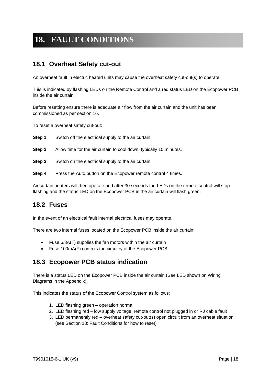## **18. FAULT CONDITIONS**

#### **18.1 Overheat Safety cut-out**

An overheat fault in electric heated units may cause the overheat safety cut-out(s) to operate.

This is indicated by flashing LEDs on the Remote Control and a red status LED on the Ecopower PCB inside the air curtain.

Before resetting ensure there is adequate air flow from the air curtain and the unit has been commissioned as per section 16.

To reset a overheat safety cut-out:

**Step 1** Switch off the electrical supply to the air curtain.

- **Step 2** Allow time for the air curtain to cool down, typically 10 minutes.
- **Step 3** Switch on the electrical supply to the air curtain.
- **Step 4** Press the Auto button on the Ecopower remote control 4 times.

Air curtain heaters will then operate and after 30 seconds the LEDs on the remote control will stop flashing and the status LED on the Ecopower PCB in the air curtain will flash green.

#### **18.2 Fuses**

In the event of an electrical fault internal electrical fuses may operate.

There are two internal fuses located on the Ecopower PCB inside the air curtain:

- Fuse 6.3A(T) supplies the fan motors within the air curtain
- Fuse 100mA(F) controls the circuitry of the Ecopower PCB

#### **18.3 Ecopower PCB status indication**

There is a status LED on the Ecopower PCB inside the air curtain (See LED shown on Wiring Diagrams in the Appendix).

This indicates the status of the Ecopower Control system as follows:

- 1. LED flashing green operation normal
- 2. LED flashing red low supply voltage, remote control not plugged in or RJ cable fault
- 3. LED permanently red overheat safety cut-out(s) open circuit from an overheat situation (see Section 18: Fault Conditions for how to reset)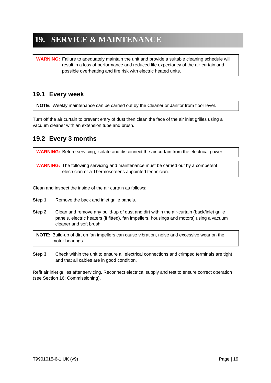## **19. SERVICE & MAINTENANCE**

**WARNING:** Failure to adequately maintain the unit and provide a suitable cleaning schedule will result in a loss of performance and reduced life expectancy of the air-curtain and possible overheating and fire risk with electric heated units.

## **19.1 Every week**

**NOTE:** Weekly maintenance can be carried out by the Cleaner or Janitor from floor level.

Turn off the air curtain to prevent entry of dust then clean the face of the air inlet grilles using a vacuum cleaner with an extension tube and brush.

#### **19.2 Every 3 months**

**WARNING:** Before servicing, isolate and disconnect the air curtain from the electrical power.

**WARNING:** The following servicing and maintenance must be carried out by a competent electrician or a Thermoscreens appointed technician.

Clean and inspect the inside of the air curtain as follows:

- **Step 1** Remove the back and inlet grille panels.
- **Step 2** Clean and remove any build-up of dust and dirt within the air-curtain (back/inlet grille panels, electric heaters (if fitted), fan impellers, housings and motors) using a vacuum cleaner and soft brush.

**NOTE:** Build-up of dirt on fan impellers can cause vibration, noise and excessive wear on the motor bearings.

**Step 3** Check within the unit to ensure all electrical connections and crimped terminals are tight and that all cables are in good condition.

Refit air inlet grilles after servicing. Reconnect electrical supply and test to ensure correct operation (see Section 16: Commissioning).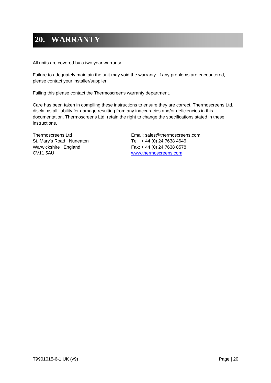## **20. WARRANTY**

All units are covered by a two year warranty.

Failure to adequately maintain the unit may void the warranty. If any problems are encountered, please contact your installer/supplier.

Failing this please contact the Thermoscreens warranty department.

Care has been taken in compiling these instructions to ensure they are correct. Thermoscreens Ltd. disclaims all liability for damage resulting from any inaccuracies and/or deficiencies in this documentation. Thermoscreens Ltd. retain the right to change the specifications stated in these instructions.

St. Mary's Road Nuneaton Tel: +44 (0) 24 7638 4646 Warwickshire England Fax: + 44 (0) 24 7638 8578 CV11 5AU www.thermoscreens.com

Thermoscreens Ltd Email: sales@thermoscreens.com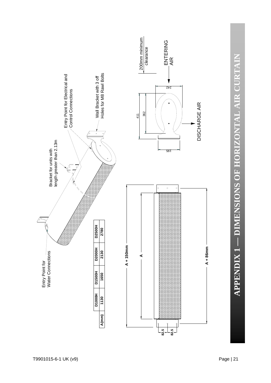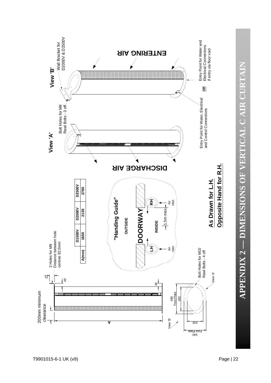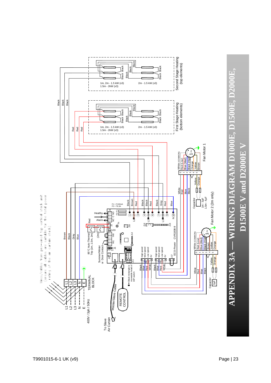

# **APPENDIX 3A — WIRING DIAGRAM D1000E, D1500E, D2000E,**  APPENDIX 3A — WIRING DIAGRAM D1000E, D1500E, D2000E, **D1500E V and D2000E V**  $D1500E$  V and  $D2000E$  V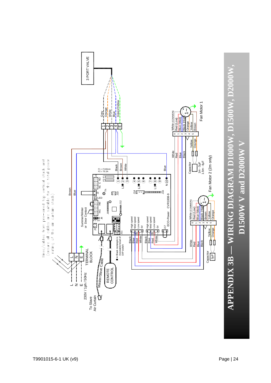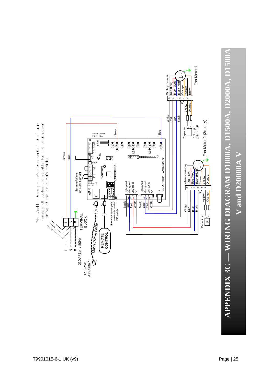